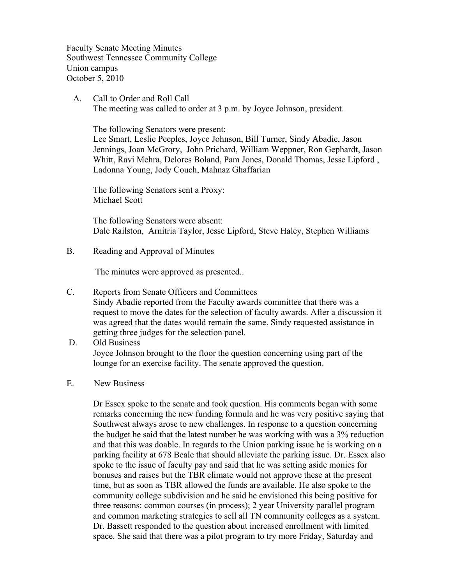Faculty Senate Meeting Minutes Southwest Tennessee Community College Union campus October 5, 2010

 A. Call to Order and Roll Call The meeting was called to order at 3 p.m. by Joyce Johnson, president.

The following Senators were present:

Lee Smart, Leslie Peeples, Joyce Johnson, Bill Turner, Sindy Abadie, Jason Jennings, Joan McGrory, John Prichard, William Weppner, Ron Gephardt, Jason Whitt, Ravi Mehra, Delores Boland, Pam Jones, Donald Thomas, Jesse Lipford , Ladonna Young, Jody Couch, Mahnaz Ghaffarian

The following Senators sent a Proxy: Michael Scott

The following Senators were absent: Dale Railston, Arnitria Taylor, Jesse Lipford, Steve Haley, Stephen Williams

B. Reading and Approval of Minutes

The minutes were approved as presented..

- C. Reports from Senate Officers and Committees Sindy Abadie reported from the Faculty awards committee that there was a request to move the dates for the selection of faculty awards. After a discussion it was agreed that the dates would remain the same. Sindy requested assistance in getting three judges for the selection panel.
- D. Old Business Joyce Johnson brought to the floor the question concerning using part of the lounge for an exercise facility. The senate approved the question.
- E. New Business

Dr Essex spoke to the senate and took question. His comments began with some remarks concerning the new funding formula and he was very positive saying that Southwest always arose to new challenges. In response to a question concerning the budget he said that the latest number he was working with was a 3% reduction and that this was doable. In regards to the Union parking issue he is working on a parking facility at 678 Beale that should alleviate the parking issue. Dr. Essex also spoke to the issue of faculty pay and said that he was setting aside monies for bonuses and raises but the TBR climate would not approve these at the present time, but as soon as TBR allowed the funds are available. He also spoke to the community college subdivision and he said he envisioned this being positive for three reasons: common courses (in process); 2 year University parallel program and common marketing strategies to sell all TN community colleges as a system. Dr. Bassett responded to the question about increased enrollment with limited space. She said that there was a pilot program to try more Friday, Saturday and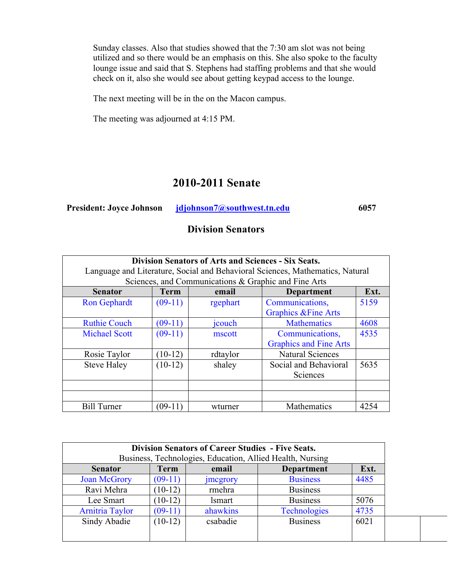Sunday classes. Also that studies showed that the 7:30 am slot was not being utilized and so there would be an emphasis on this. She also spoke to the faculty lounge issue and said that S. Stephens had staffing problems and that she would check on it, also she would see about getting keypad access to the lounge.

The next meeting will be in the on the Macon campus.

The meeting was adjourned at 4:15 PM.

# **2010-2011 Senate**

| <b>President: Joyce Johnson</b> | jdjohnson7@southwest.tn.edu | 6057 |
|---------------------------------|-----------------------------|------|
|                                 |                             |      |

### **Division Senators**

| <b>Division Senators of Arts and Sciences - Six Seats.</b><br>Language and Literature, Social and Behavioral Sciences, Mathematics, Natural<br>Sciences, and Communications & Graphic and Fine Arts |                                                   |          |                                                    |      |  |
|-----------------------------------------------------------------------------------------------------------------------------------------------------------------------------------------------------|---------------------------------------------------|----------|----------------------------------------------------|------|--|
| <b>Senator</b>                                                                                                                                                                                      | <b>Term</b><br>Ext.<br><b>Department</b><br>email |          |                                                    |      |  |
| <b>Ron Gephardt</b>                                                                                                                                                                                 | $(09-11)$                                         | rgephart | Communications,<br><b>Graphics &amp; Fine Arts</b> | 5159 |  |
| <b>Ruthie Couch</b>                                                                                                                                                                                 | $(09-11)$                                         | jcouch   | <b>Mathematics</b>                                 | 4608 |  |
| <b>Michael Scott</b>                                                                                                                                                                                | $(09-11)$                                         | mscott   | Communications,<br><b>Graphics and Fine Arts</b>   | 4535 |  |
| Rosie Taylor                                                                                                                                                                                        | $(10-12)$                                         | rdtaylor | <b>Natural Sciences</b>                            |      |  |
| <b>Steve Haley</b>                                                                                                                                                                                  | $(10-12)$                                         | shaley   | Social and Behavioral<br>Sciences                  | 5635 |  |
|                                                                                                                                                                                                     |                                                   |          |                                                    |      |  |
|                                                                                                                                                                                                     |                                                   |          |                                                    |      |  |
| <b>Bill Turner</b>                                                                                                                                                                                  | (09-11)                                           | wturner  | Mathematics                                        | 4254 |  |

|                        |             | <b>Division Senators of Career Studies - Five Seats.</b>                                        |                     |      |  |  |
|------------------------|-------------|-------------------------------------------------------------------------------------------------|---------------------|------|--|--|
| <b>Senator</b>         | <b>Term</b> | Business, Technologies, Education, Allied Health, Nursing<br>Ext.<br><b>Department</b><br>email |                     |      |  |  |
| <b>Joan McGrory</b>    | $(09-11)$   | <i>s megrory</i>                                                                                | <b>Business</b>     | 4485 |  |  |
| Ravi Mehra             | $10-12$     | rmehra                                                                                          | <b>Business</b>     |      |  |  |
| Lee Smart              | $10-12$     | <i>lsmart</i>                                                                                   | <b>Business</b>     | 5076 |  |  |
| <b>Arnitria Taylor</b> | $(09-11)$   | ahawkins                                                                                        | <b>Technologies</b> | 4735 |  |  |
| Sindy Abadie           | $(10-12)$   | csabadie                                                                                        | <b>Business</b>     | 6021 |  |  |
|                        |             |                                                                                                 |                     |      |  |  |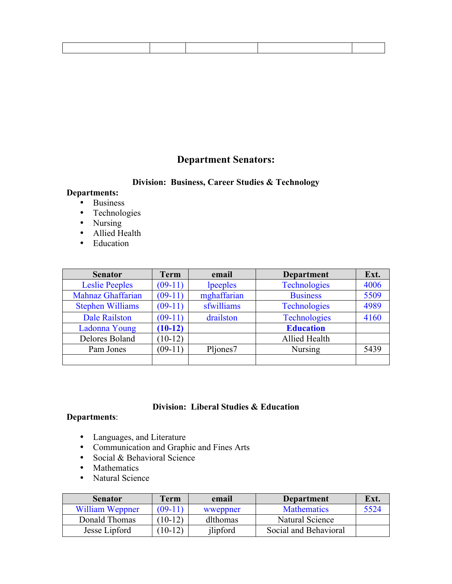# **Department Senators:**

#### **Division: Business, Career Studies & Technology**

### **Departments:**

- Business
- Technologies
- Nursing
- Allied Health
- Education

| <b>Senator</b>          | <b>Term</b> | email       | <b>Department</b>   | Ext. |
|-------------------------|-------------|-------------|---------------------|------|
| <b>Leslie Peeples</b>   | $(09-11)$   | lpeeples    | <b>Technologies</b> | 4006 |
| Mahnaz Ghaffarian       | $(09-11)$   | mghaffarian | <b>Business</b>     | 5509 |
| <b>Stephen Williams</b> | $(09-11)$   | sfwilliams  | <b>Technologies</b> | 4989 |
| <b>Dale Railston</b>    | $(09-11)$   | drailston   | <b>Technologies</b> | 4160 |
| Ladonna Young           | $(10-12)$   |             | <b>Education</b>    |      |
| Delores Boland          | $(10-12)$   |             | Allied Health       |      |
| Pam Jones               | $(09-11)$   | Pljones7    | <b>Nursing</b>      | 5439 |
|                         |             |             |                     |      |

#### **Division: Liberal Studies & Education**

#### **Departments**:

- Languages, and Literature
- Communication and Graphic and Fines Arts
- Social & Behavioral Science
- Mathematics
- Natural Science

| <b>Senator</b>  | <b>Term</b> | email    | Department            | Ext. |
|-----------------|-------------|----------|-----------------------|------|
| William Weppner | $(09-11)$   | wweppner | <b>Mathematics</b>    | 5524 |
| Donald Thomas   | $10-12)$    | dlthomas | Natural Science       |      |
| Jesse Lipford   | $10-12)$    | jlipford | Social and Behavioral |      |